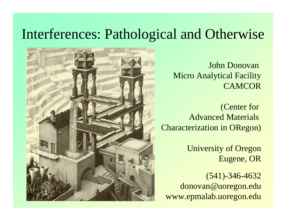#### Interferences: Pathological and Otherwise



John Donovan Micro Analytical Facility **CAMCOR** 

(Center for Advanced Materials Characterization in ORegon)

> University of Oregon Eugene, OR

(541)-346-4632 donovan@uoregon.edu www.epmalab.uoregon.edu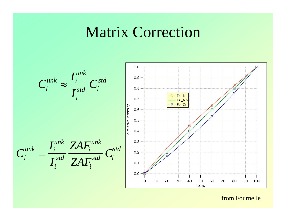### **Matrix Correction**



from Fournelle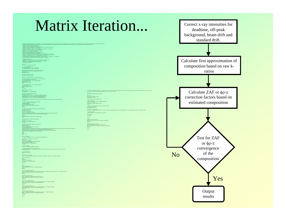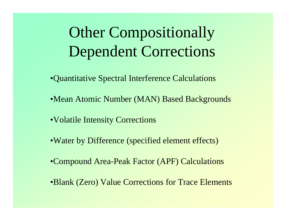# Other Compositionally Dependent Corrections

- •Quantitative Spectral Interference Calculations
- •Mean Atomic Number (MAN) Based Backgrounds
- •Volatile Intensity Corrections
- •Water by Difference (specified element effects)
- •Compound Area-Peak Factor (APF) Calculations
- •Blank (Zero) Value Corrections for Trace Elements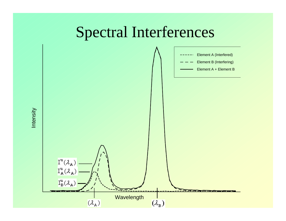# Spectral Interferences

![](_page_4_Figure_1.jpeg)

Intensity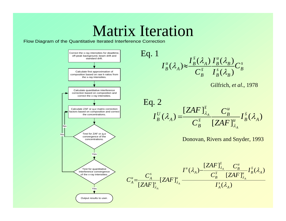## Matrix Iteration

Flow Diagram of the Quantitative Iterated Interference Correction

![](_page_5_Figure_2.jpeg)

![](_page_5_Figure_3.jpeg)

![](_page_5_Figure_4.jpeg)

![](_page_5_Figure_5.jpeg)

Donovan, Rivers and Snyder, 1993

![](_page_5_Figure_7.jpeg)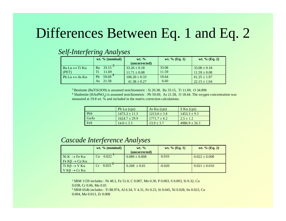#### Differences Between Eq. 1 and Eq. 2

|  | Self-Interfering Analyses |  |
|--|---------------------------|--|
|  |                           |  |

|                                                             | wt. $%$ (nominal)           | $wt. \%$          | wt. % $(Eq. 1)$ | wt. $\%$ (Eq. 2) |
|-------------------------------------------------------------|-----------------------------|-------------------|-----------------|------------------|
|                                                             |                             | (uncorrected)     |                 |                  |
| $Ba\,\mathrm{L}\alpha \leftrightarrow Ti\,\mathrm{K}\alpha$ | $33.15^{\circ}$<br>Ba       | $33.26 \pm 0.18$  | 33.08           | $33.08 \pm 0.18$ |
| (PET)                                                       | Ti<br>11.69                 | $11.71 \pm 0.08$  | 11.59           | $11.59 \pm 0.08$ |
| Pb L $\alpha \leftrightarrow$ As K $\alpha$                 | $59.69^{\frac{4}{5}}$<br>Ph | $106.20 \pm 0.33$ | 19.64           | $61.25 \pm 1.97$ |
|                                                             | 21.58<br>As                 | $41.38 \pm 0.27$  | 6.60            | $22.15 \pm 1.04$ |

3 Benitoite (BaTiSi3O9) is assumed stoichiometric : Si 20.38, Ba 33.15, Ti 11.69, O 34.896

<sup>4</sup> Shultenite (HAsPbO<sub>4</sub>) is assumed stoichiometric : Pb 59.69, As 21.58, O 18.44. The oxygen concentration was measured at 19.8 wt. % and included in the matrix correction calculations.

|      | Pb L $\alpha$ (cps) | As $K\alpha$ (cps) | $S K\alpha$ (cps) |
|------|---------------------|--------------------|-------------------|
| PbS  | $1473.3 \pm 11.5$   | $1213.0 \pm 3.8$   | $1453.3 \pm 9.3$  |
| GaAs | $1624.7 \pm 29.9$   | $1771.7 + 8.2$     | $2.5 \pm 1.2$     |
| FeS  | $14.0 \pm 3.3$      | $13.9 \pm 3.7$     | $4986.9 \pm 26.3$ |

#### *Cascade Interference Analyses*

|                                        | wt. $%$ (nominal) | $wt. \%$          | wt. $%$ (Eq. 1) | wt. $%$ (Eq. 2)   |
|----------------------------------------|-------------------|-------------------|-----------------|-------------------|
|                                        |                   | (uncorrected)     |                 |                   |
| $Ni K \rightarrow Fe K\alpha$          | 0.022<br>Co.      | $0.089 \pm 0.008$ | 0.010           | $0.022 \pm 0.008$ |
| Fe K $\beta \rightarrow$ Co K $\alpha$ |                   |                   |                 |                   |
| Ti $K\beta \rightarrow V K\alpha$      | $0.025^{\sim}$    | $0.268 \pm 0.01$  | $-0.020$        | $0.021 \pm 0.010$ |
| $V K\beta \rightarrow Cr K\alpha$      |                   |                   |                 |                   |

<sup>1</sup> SRM 1159 includes : Ni 48.2, Fe 51.0, C 0.007, Mn 0.30, P 0.003, S 0.003, Si 0.32, Cu 0.038, Cr 0.06, Mo 0.01 2 SRM 654b includes : Ti 88.974, Al 6.34, V 4.31, Fe 0.23, Si 0.045, Ni 0.028, Sn 0.023, Cu 0.004, Mo 0.013, Zr 0.008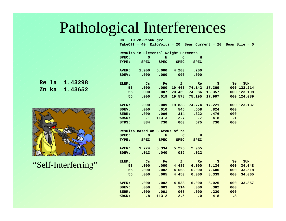# Pathological Interferences

Un 10 Zn-ReSCN gr2 TakeOff =  $40$  KiloVolts =  $20$  Beam Current =  $20$  Beam Size =  $0$ 

|              | Results in Elemental Weight Percents |                |                     |                      |                             |              |                |
|--------------|--------------------------------------|----------------|---------------------|----------------------|-----------------------------|--------------|----------------|
| SPEC:        | $\circ$                              | N              | $\angle$ C          | н                    |                             |              |                |
| TYPE:        | <b>SPEC</b>                          | <b>SPEC</b>    | SPEC                | <b>SPEC</b>          |                             |              |                |
|              |                                      |                |                     |                      |                             |              |                |
| AVER:        |                                      |                | $1.900$ 5.000 4.200 | .200                 |                             |              |                |
| SDEV:        | .000                                 | .000           | .000                | .000                 |                             |              |                |
|              |                                      |                |                     |                      |                             |              |                |
| ELEM:        | <b>Cs</b>                            | $\mathbf{F}$ e | Zn                  | Re                   | S.                          | ∕ Se         | <b>SUM</b>     |
| 53           | .000                                 | .000           | 19.463              | 74.142               | 17.309                      |              | $.000$ 122.214 |
| 55           | .000                                 |                |                     | $.007$ 20.459 74.986 | 16.357                      |              | $.000$ 123.108 |
| 56           | .000                                 |                |                     | .019 19.578 75.195   | 17.997                      |              | $.000$ 124.089 |
|              |                                      |                |                     |                      |                             |              |                |
| <b>AVER:</b> | $\bullet$ .000                       |                |                     |                      | $.009$ 19.833 74.774 17.221 |              | $.000$ 123.137 |
| SDEV:        | .000                                 | .010           | .545                |                      | $.558$ $.824$               | .000         |                |
| SERR:        |                                      | $.000 \t .006$ | .314                | .322                 | .476                        | .000         |                |
| %RSD:        | $\overline{\phantom{a}}$ .1          |                | $113.3 \t 2.7$      | $\cdot$ .7           | 4.8                         | $\angle$ . 1 |                |
| STDS:        | 834                                  | 730            | 660                 | 575                  | 730                         | 660          |                |
|              |                                      |                |                     |                      |                             |              |                |
|              |                                      |                |                     |                      |                             |              |                |
|              | Results Based on 6 Atoms of re       |                |                     |                      |                             |              |                |
| SPEC:        | $\sqrt{2}$ o                         | N              | $\mathbf C$         | $\overline{H}$       |                             |              |                |
| TYPE:        | SPEC SPEC                            |                | SPEC                | <b>SPEC</b>          |                             |              |                |
|              |                                      |                |                     |                      |                             |              |                |
| AVER:        |                                      |                | $1.774$ 5.334 5.225 | 2.965                |                             |              |                |
| SDEV:        | .013                                 | .040           | .039                | .022                 |                             |              |                |
|              |                                      |                |                     |                      |                             |              |                |
| ELEM:        | <b>Cs</b>                            | Fe             | Zn                  | Re                   | S.                          |              | Se SUM         |
| 53           | .000                                 |                | .000 4.486          |                      | 6.000 8.134                 | .000         | 34.048         |
| 55           | .000                                 | .002           |                     |                      | 4.663 6.000 7.600           | .000         | 33.518         |
| 56           | .000                                 |                | $.005$ 4.450        |                      | 6.000 8.339                 | .000         | 34.005         |
|              |                                      |                |                     |                      |                             |              |                |
| <b>AVER:</b> | .000                                 |                |                     |                      | $.002$ 4.533 6.000 8.025    | .000         | 33.857         |
| SDEV:        | .000                                 | .003           |                     |                      | $.114$ $.000$ $.382$        | .000         |                |
| SERR:        | .000                                 | $\sim$ .001    | .066                | .000                 | .220                        | .000         |                |

| Re la | 1.43298 |
|-------|---------|
| Zn ka | 1.43652 |

![](_page_7_Picture_4.jpeg)

"Self-Interferring"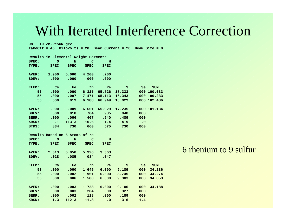#### With Iterated Interference Correction

Un 10 Zn-ReSCN gr2 TakeOff =  $40$  KiloVolts =  $20$  Beam Current =  $20$  Beam Size =  $0$ 

|              | Results in Elemental Weight Percents |                         |                    |                      |                           |                                                                                                                                                                                                                                |              |  |
|--------------|--------------------------------------|-------------------------|--------------------|----------------------|---------------------------|--------------------------------------------------------------------------------------------------------------------------------------------------------------------------------------------------------------------------------|--------------|--|
| SPEC:        | — ∕o                                 | N                       | $\mathbf C$        | н                    |                           |                                                                                                                                                                                                                                |              |  |
| TYPE:        | <b>SPEC</b>                          | <b>SPEC</b>             | <b>SPEC</b>        | <b>SPEC</b>          |                           |                                                                                                                                                                                                                                |              |  |
|              |                                      |                         |                    |                      |                           |                                                                                                                                                                                                                                |              |  |
| <b>AVER:</b> | 1.900                                | 5.000 4.200             |                    | .200                 |                           |                                                                                                                                                                                                                                |              |  |
| SDEV:        | .000                                 | .000                    | $.000\,$           | .000                 |                           |                                                                                                                                                                                                                                |              |  |
|              |                                      |                         |                    |                      |                           |                                                                                                                                                                                                                                |              |  |
| ELEM:        | ∕ Cs                                 | $\angle$ Fe $\angle$    | Zn                 | Re                   | S.                        | Se and the set of the set of the set of the set of the set of the set of the set of the set of the set of the set of the set of the set of the set of the set of the set of the set of the set of the set of the set of the se | <b>SUM</b>   |  |
| 53           | .000                                 | .000 6.325              |                    | 65.726               | 17.333                    |                                                                                                                                                                                                                                | .000 100.683 |  |
| 55           | .000                                 |                         |                    | $.007$ 7.471 65.113  | 16.343                    |                                                                                                                                                                                                                                | .000100.233  |  |
| 56           | .000                                 | .019                    | 6.188              | 66.949               | 18.029                    |                                                                                                                                                                                                                                | .000102.486  |  |
|              |                                      |                         |                    |                      |                           |                                                                                                                                                                                                                                |              |  |
| <b>AVER:</b> | .000                                 | .009                    | 6.661              | 65.929               | 17.235                    |                                                                                                                                                                                                                                | .000101.134  |  |
| SDEV:        | .000                                 | $\bigtriangledown$ .010 | $\sim$ .704 $\sim$ | .935                 | .848                      | .000                                                                                                                                                                                                                           |              |  |
| SERR:        | .000                                 |                         |                    | $.006$ $.407$ $.540$ | .489                      | .000                                                                                                                                                                                                                           |              |  |
| %RSD:        | $\sim$ 1                             | 113.3                   | 10.6               |                      | $\sqrt{1.4}$ $\sqrt{4.9}$ | $\sim$ .0                                                                                                                                                                                                                      |              |  |
| STDS:        | 834                                  | 730                     | 660                | 575                  | 730                       | 660                                                                                                                                                                                                                            |              |  |
|              |                                      |                         |                    |                      |                           |                                                                                                                                                                                                                                |              |  |
|              |                                      |                         |                    |                      |                           |                                                                                                                                                                                                                                |              |  |
|              | Results Based on 6 Atoms of re       |                         |                    |                      |                           |                                                                                                                                                                                                                                |              |  |
| SPEC:        | $\overline{\phantom{a}}$             | N                       | $\mathbf C$        | н                    |                           |                                                                                                                                                                                                                                |              |  |
| TYPE:        | <b>SPEC</b>                          | SPEC                    | <b>SPEC</b>        | <b>SPEC</b>          |                           |                                                                                                                                                                                                                                |              |  |
|              |                                      |                         |                    |                      |                           |                                                                                                                                                                                                                                |              |  |
| <b>AVER:</b> |                                      | $2.013$ 6.050 5.926     |                    | 3.363                |                           |                                                                                                                                                                                                                                |              |  |
| SDEV:        | .028                                 | .085                    | .084               | .047                 |                           |                                                                                                                                                                                                                                |              |  |
|              |                                      |                         |                    |                      |                           |                                                                                                                                                                                                                                |              |  |
| ELEM:        | <b>Cs</b>                            | $\mathbf{F}$ e          | Zn                 | $\mathbb{R}^n$       | S                         | Alban Salah Salah Sula                                                                                                                                                                                                         | Se SUM       |  |
| 53           | .000                                 |                         |                    |                      | $.000$ 1.645 6.000 9.189  | .000                                                                                                                                                                                                                           | 34.236       |  |
| 55           | .000                                 | .002                    |                    | 1.961 6.000 8.745    |                           | .000                                                                                                                                                                                                                           | 34.274       |  |
| 56           | .000                                 | .006                    | 1.580              | 6.000                | 9.383                     | .000                                                                                                                                                                                                                           | 34.053       |  |
|              |                                      |                         |                    |                      |                           |                                                                                                                                                                                                                                |              |  |
| <b>AVER:</b> | .000                                 | .003                    |                    |                      | $1.728$ 6.000 9.106       | .000                                                                                                                                                                                                                           | 34.188       |  |
| SDEV:        | .000                                 | $.003$ $.204$ $.000$    |                    |                      | .327                      | .000                                                                                                                                                                                                                           |              |  |
| SERR:        | .000                                 |                         |                    | .000                 | .189                      | .000                                                                                                                                                                                                                           |              |  |
| %RSD:        | 1.3                                  | .002<br>112.3           | .118<br>11.8       | $\sim$ .0            | 3.6                       | 1.4                                                                                                                                                                                                                            |              |  |

#### 6 rhenium to 9 sulfur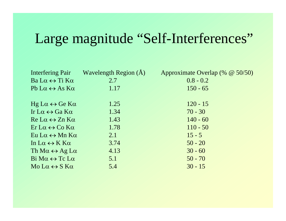# Large magnitude "Self-Interferences"

|                                                                                   | Interfering Pair Wavelength Region (Å) | Approximate Overlap (% @ 50/50) |
|-----------------------------------------------------------------------------------|----------------------------------------|---------------------------------|
| $Ba\,L\alpha \leftrightarrow Ti\,K\alpha$                                         | 2.7                                    | $0.8 - 0.2$                     |
| Pb L $\alpha \leftrightarrow$ As K $\alpha$                                       | 1.17                                   | $150 - 65$                      |
|                                                                                   |                                        |                                 |
| $Hg L\alpha \leftrightarrow Ge K\alpha$                                           | 1.25                                   | $120 - 15$                      |
| Ir L $\alpha \leftrightarrow$ Ga K $\alpha$                                       | 1.34                                   | $70 - 30$                       |
| $\text{Re} \mathsf{L} \alpha \leftrightarrow \text{Zn} \mathsf{K} \alpha$         | 1.43                                   | $140 - 60$                      |
| $\operatorname{Er} \mathrm{L}\alpha \leftrightarrow \mathrm{Co} \mathrm{K}\alpha$ | 1.78                                   | $110 - 50$                      |
| $Eu$ $L\alpha \leftrightarrow Mn$ K $\alpha$                                      | 2.1                                    | $15 - 5$                        |
| In $L\alpha \leftrightarrow K K\alpha$                                            | 3.74                                   | $50 - 20$                       |
| Th $Ma \leftrightarrow Ag$ La                                                     | 4.13                                   | $30 - 60$                       |
| $\text{Bi } \text{Ma} \leftrightarrow \text{Tc } \text{La}$                       | 5.1                                    | $50 - 70$                       |
| $Mo L\alpha \leftrightarrow S K\alpha$                                            | 5.4                                    | $30 - 15$                       |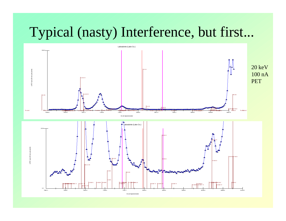### Typical (nasty) Interference, but first...

![](_page_10_Figure_1.jpeg)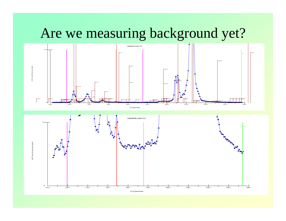### Are we measuring background yet?

![](_page_11_Figure_1.jpeg)

![](_page_11_Figure_2.jpeg)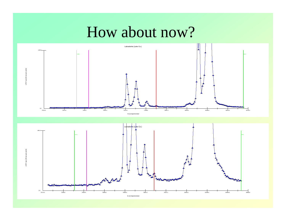# How about now?

![](_page_12_Figure_1.jpeg)

![](_page_12_Figure_2.jpeg)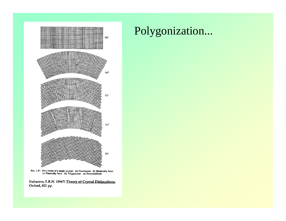![](_page_13_Figure_0.jpeg)

FIG. 1.27. Five states of a single crystal. (a) Unstrained. (b) Elastically bent.<br>(c) Plastically bent. (d) Polygonized. (e) Recrystallized.

Nabarrro, F.R.N. (1967) Theory of Crystal Dislocations, Oxford, 821 pp.

#### Polygonization...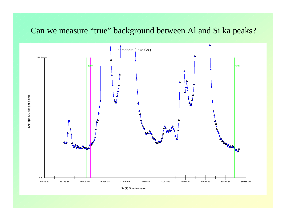#### Can we measure "true" background between Al and Si ka peaks?

![](_page_14_Figure_1.jpeg)

Sr (1) Spectrometer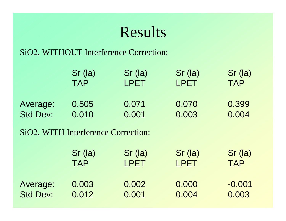# Results

#### SiO2, WITHOUT Interference Correction:

|                 | Sr (la)                             | Sr (la)     | Sr (la)     | Sr (la)    |
|-----------------|-------------------------------------|-------------|-------------|------------|
|                 | <b>TAP</b>                          | LPET        | LPET        | <b>TAP</b> |
| Average:        | 0.505                               | 0.071       | 0.070       | 0.399      |
| <b>Std Dev:</b> | 0.010                               | 0.001       | 0.003       | 0.004      |
|                 | SiO2, WITH Interference Correction: |             |             |            |
|                 | $Sr$ (la)                           | Sr (la)     | Sr (la)     | Sr (la)    |
|                 | <b>TAP</b>                          | <b>LPET</b> | <b>LPET</b> | <b>TAP</b> |
| Average:        | 0.003                               | 0.002       | 0.000       | $-0.001$   |
| <b>Std Dev:</b> | 0.012                               | 0.001       | 0.004       | 0.003      |